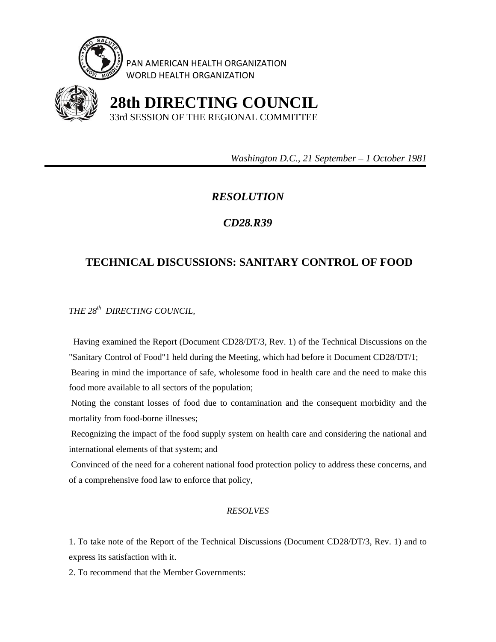

PAN AMERICAN HEALTH ORGANIZATION WORLD HEALTH ORGANIZATION



 **28th DIRECTING COUNCIL** 33rd SESSION OF THE REGIONAL COMMITTEE

 *Washington D.C., 21 September – 1 October 1981* 

## *RESOLUTION*

## *CD28.R39*

## **TECHNICAL DISCUSSIONS: SANITARY CONTROL OF FOOD**

*THE 28th DIRECTING COUNCIL,* 

 Having examined the Report (Document CD28/DT/3, Rev. 1) of the Technical Discussions on the "Sanitary Control of Food"1 held during the Meeting, which had before it Document CD28/DT/1; Bearing in mind the importance of safe, wholesome food in health care and the need to make this food more available to all sectors of the population;

 Noting the constant losses of food due to contamination and the consequent morbidity and the mortality from food-borne illnesses;

 Recognizing the impact of the food supply system on health care and considering the national and international elements of that system; and

 Convinced of the need for a coherent national food protection policy to address these concerns, and of a comprehensive food law to enforce that policy,

## *RESOLVES*

1. To take note of the Report of the Technical Discussions (Document CD28/DT/3, Rev. 1) and to express its satisfaction with it.

2. To recommend that the Member Governments: